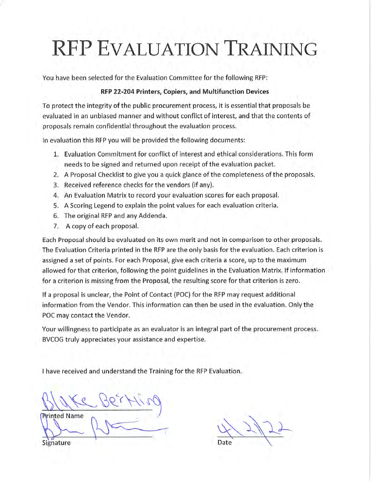You have been selected for the Evaluation Committee for the following RFP:

#### RFP 22-204 Printers, Copiers, and Multifunction Devices

To protect the integrity of the public procurement process, it is essential that proposals be evaluated in an unbiased manner and without conflict of interest, and that the contents of proposals remain confidential throughout the evaluation process.

In evaluation this RFP you will be provided the following documents:

- 1. Evaluation Commitment for conflict of interest and ethical considerations. This form needs to be signed and returned upon receipt of the evaluation packet.
- 2. A Proposal Checklist to give you a quick glance of the completeness of the proposals.
- 3. Received reference checks for the vendors (if any).
- 4. An Evaluation Matrix to record your evaluation scores for each proposal.
- 5. A Scoring Legend to explain the point values for each evaluation criteria.
- 6. The original RFP and any Addenda.
- 7. A copy of each proposal.

Each Proposal should be evaluated on its own merit and not in comparison to other proposals. The Evaluation Criteria printed in the RFP are the only basis for the evaluation. Each criterion is assigned a set of points. For each Proposal, give each criteria a score, up to the maximum allowed for that criterion, following the point guidelines in the Evaluation Matrix. If information for a criterion is missing from the Proposal, the resulting score for that criterion is zero.

If a proposal is unclear, the Point of Contact (POC) for the RFP may request additional information from the Vendor. This information can then be used in the evaluation. Only the POC may contact the Vendor.

Your willingness to participate as an evaluator is an integral part of the procurement process. BVCOG truly appreciates your assistance and expertise.

**Printed Name** 

Date

Signature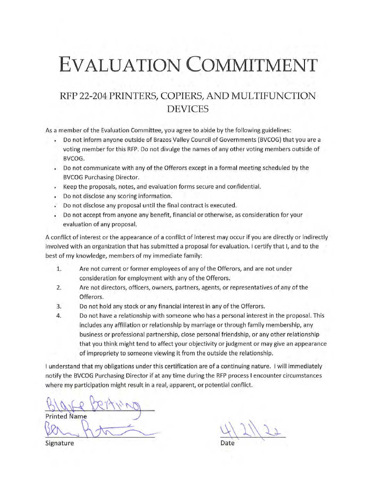### RFP 22-204 PRINTERS, COPIERS, AND MULTIFUNCTION **DEVICES**

As a member of the Evaluation Committee, you agree to abide by the following guidelines:

- Do not inform anyone outside of Brazos Valley Council of Governments (BVCOG) that you are a voting member for this RFP. Do not divulge the names of any other voting members outside of BVCOG.
- . Do not communicate with any of the Offerors except in a formal meeting scheduled by the **BVCOG Purchasing Director.**
- Keep the proposals, notes, and evaluation forms secure and confidential.
- Do not disclose any scoring information.
- Do not disclose any proposal until the final contract is executed.
- Do not accept from anyone any benefit, financial or otherwise, as consideration for your evaluation of any proposal.

A conflict of interest or the appearance of a conflict of interest may occur if you are directly or indirectly involved with an organization that has submitted a proposal for evaluation. I certify that I, and to the best of my knowledge, members of my immediate family:

- Are not current or former employees of any of the Offerors, and are not under 1. consideration for employment with any of the Offerors.
- Are not directors, officers, owners, partners, agents, or representatives of any of the  $2.$ Offerors.
- Do not hold any stock or any financial interest in any of the Offerors. 3.
- Do not have a relationship with someone who has a personal interest in the proposal. This 4. includes any affiliation or relationship by marriage or through family membership, any business or professional partnership, close personal friendship, or any other relationship that you think might tend to affect your objectivity or judgment or may give an appearance of impropriety to someone viewing it from the outside the relationship.

I understand that my obligations under this certification are of a continuing nature. I will immediately notify the BVCOG Purchasing Director if at any time during the RFP process I encounter circumstances where my participation might result in a real, apparent, or potential conflict.

**Printed Name** 

Signature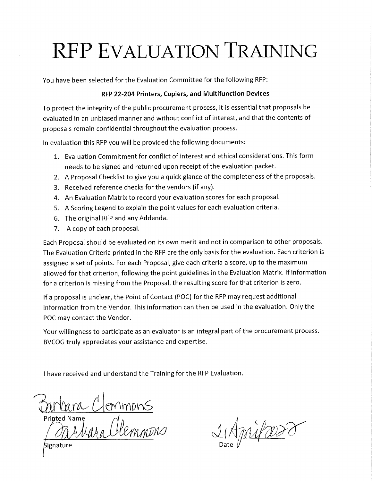You have been selected for the Evaluation Committee for the following RFP:

#### RFP 22-204 Printers, Copiers, and Multifunction Devices

To protect the integrity of the public procurement process, it is essential that proposals be evaluated in an unbiased manner and without conflict of interest, and that the contents of proposals remain confidential throughout the evaluation process.

In evaluation this RFP you will be provided the following documents:

- 1. Evaluation Commitment for conflict of interest and ethical considerations. This form needs to be signed and returned upon receipt of the evaluation packet.
- 2. A Proposal Checklist to give you a quick glance of the completeness of the proposals.
- 3. Received reference checks for the vendors (if any).
- 4. An Evaluation Matrix to record your evaluation scores for each proposal.
- 5. A Scoring Legend to explain the point values for each evaluation criteria.
- 6. The original RFP and any Addenda.
- 7. A copy of each proposal.

Each Proposal should be evaluated on its own merit and not in comparison to other proposals. The Evaluation Criteria printed in the RFP are the only basis for the evaluation. Each criterion is assigned a set of points. For each Proposal, give each criteria a score, up to the maximum allowed for that criterion, following the point guidelines in the Evaluation Matrix. If information for a criterion is missing from the Proposal, the resulting score for that criterion is zero.

If a proposal is unclear, the Point of Contact (POC) for the RFP may request additional information from the Vendor. This information can then be used in the evaluation. Only the POC may contact the Vendor.

Your willingness to participate as an evaluator is an integral part of the procurement process. BVCOG truly appreciates your assistance and expertise.

I have received and understand the Training for the RFP Evaluation.

Burbara Clonmons<br>Printed Name<br>Carliara Clemmons

Wood of

Signature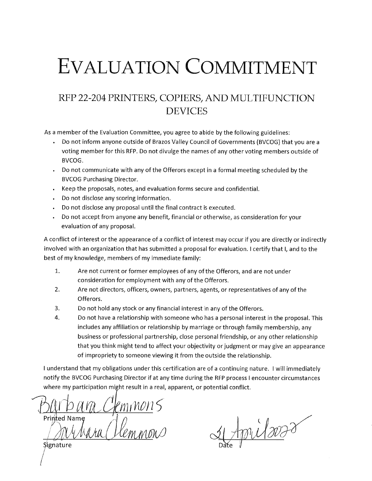### RFP 22-204 PRINTERS, COPIERS, AND MULTIFUNCTION **DEVICES**

As a member of the Evaluation Committee, you agree to abide by the following guidelines:

- Do not inform anyone outside of Brazos Valley Council of Governments (BVCOG) that you are a voting member for this RFP. Do not divulge the names of any other voting members outside of BVCOG.
- Do not communicate with any of the Offerors except in a formal meeting scheduled by the **BVCOG Purchasing Director.**
- Keep the proposals, notes, and evaluation forms secure and confidential.
- Do not disclose any scoring information.
- Do not disclose any proposal until the final contract is executed.  $\ddot{\phantom{0}}$
- Do not accept from anyone any benefit, financial or otherwise, as consideration for your evaluation of any proposal.

A conflict of interest or the appearance of a conflict of interest may occur if you are directly or indirectly involved with an organization that has submitted a proposal for evaluation. I certify that I, and to the best of my knowledge, members of my immediate family:

- 1. Are not current or former employees of any of the Offerors, and are not under consideration for employment with any of the Offerors.
- $2.$ Are not directors, officers, owners, partners, agents, or representatives of any of the Offerors.
- 3. Do not hold any stock or any financial interest in any of the Offerors.
- 4. Do not have a relationship with someone who has a personal interest in the proposal. This includes any affiliation or relationship by marriage or through family membership, any business or professional partnership, close personal friendship, or any other relationship that you think might tend to affect your objectivity or judgment or may give an appearance of impropriety to someone viewing it from the outside the relationship.

I understand that my obligations under this certification are of a continuing nature. I will immediately notify the BVCOG Purchasing Director if at any time during the RFP process I encounter circumstances where my participation might result in a real, apparent, or potential conflict.

Clemnons

milovar

Signature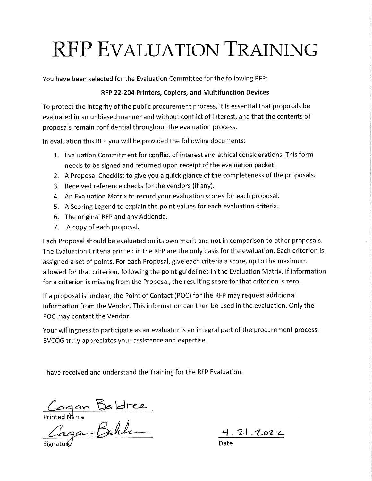You have been selected for the Evaluation Committee for the following RFP:

#### RFP 22-204 Printers, Copiers, and Multifunction Devices

To protect the integrity of the public procurement process, it is essential that proposals be evaluated in an unbiased manner and without conflict of interest, and that the contents of proposals remain confidential throughout the evaluation process.

In evaluation this RFP you will be provided the following documents:

- 1. Evaluation Commitment for conflict of interest and ethical considerations. This form needs to be signed and returned upon receipt of the evaluation packet.
- 2. A Proposal Checklist to give you a quick glance of the completeness of the proposals.
- 3. Received reference checks for the vendors (if any).
- 4. An Evaluation Matrix to record your evaluation scores for each proposal.
- 5. A Scoring Legend to explain the point values for each evaluation criteria.
- 6. The original RFP and any Addenda.
- 7. A copy of each proposal.

Each Proposal should be evaluated on its own merit and not in comparison to other proposals. The Evaluation Criteria printed in the RFP are the only basis for the evaluation. Each criterion is assigned a set of points. For each Proposal, give each criteria a score, up to the maximum allowed for that criterion, following the point guidelines in the Evaluation Matrix. If information for a criterion is missing from the Proposal, the resulting score for that criterion is zero.

If a proposal is unclear, the Point of Contact (POC) for the RFP may request additional information from the Vendor. This information can then be used in the evaluation. Only the POC may contact the Vendor.

Your willingness to participate as an evaluator is an integral part of the procurement process. BVCOG truly appreciates your assistance and expertise.

Cagan Baldree<br>Printed Name<br>Cagan Buhla

<u>4.21.2022</u>

Date: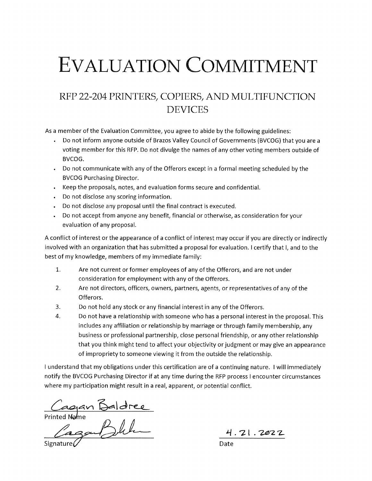### RFP 22-204 PRINTERS, COPIERS, AND MULTIFUNCTION **DEVICES**

As a member of the Evaluation Committee, you agree to abide by the following guidelines:

- Do not inform anyone outside of Brazos Valley Council of Governments (BVCOG) that you are a voting member for this RFP. Do not divulge the names of any other voting members outside of BVCOG.
- Do not communicate with any of the Offerors except in a formal meeting scheduled by the  $\bullet$ **BVCOG Purchasing Director.**
- Keep the proposals, notes, and evaluation forms secure and confidential.
- Do not disclose any scoring information.
- Do not disclose any proposal until the final contract is executed.
- Do not accept from anyone any benefit, financial or otherwise, as consideration for your  $\ddot{\phantom{a}}$ evaluation of any proposal.

A conflict of interest or the appearance of a conflict of interest may occur if you are directly or indirectly involved with an organization that has submitted a proposal for evaluation. I certify that I, and to the best of my knowledge, members of my immediate family:

- $1.$ Are not current or former employees of any of the Offerors, and are not under consideration for employment with any of the Offerors.
- $2.$ Are not directors, officers, owners, partners, agents, or representatives of any of the Offerors.
- $3.$ Do not hold any stock or any financial interest in any of the Offerors.
- $\overline{4}$ . Do not have a relationship with someone who has a personal interest in the proposal. This includes any affiliation or relationship by marriage or through family membership, any business or professional partnership, close personal friendship, or any other relationship that you think might tend to affect your objectivity or judgment or may give an appearance of impropriety to someone viewing it from the outside the relationship.

I understand that my obligations under this certification are of a continuing nature. I will immediately notify the BVCOG Purchasing Director if at any time during the RFP process I encounter circumstances where my participation might result in a real, apparent, or potential conflict.

Cagan Baldree<br>Printed Name<br>Cagan Dubu

4.21.2022

Date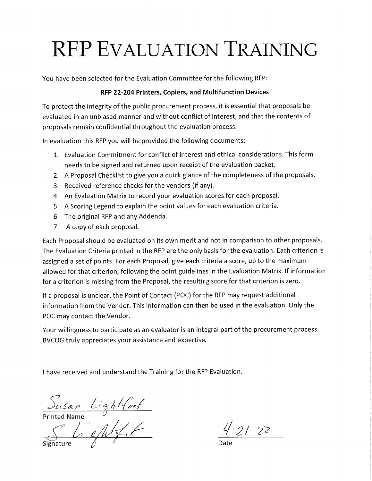You have been selected for the Evaluation Committee for the following RFP:

#### RFP 22-204 Printers, Copiers, and Multifunction Devices

To protect the integrity of the public procurement process, it is essential that proposals be evaluated in an unbiased manner and without conflict of interest, and that the contents of proposals remain confidential throughout the evaluation process.

In evaluation this RFP you will be provided the following documents:

- 1. Evaluation Commitment for conflict of interest and ethical considerations. This form needs to be signed and returned upon receipt of the evaluation packet.
- 2. A Proposal Checklist to give you a quick glance of the completeness of the proposals.
- 3. Received reference checks for the vendors (if any).
- 4. An Evaluation Matrix to record your evaluation scores for each proposal.
- 5. A Scoring Legend to explain the point values for each evaluation criteria.
- 6. The original RFP and any Addenda.
- 7. A copy of each proposal.

Each Proposal should be evaluated on its own merit and not in comparison to other proposals. The Evaluation Criteria printed in the RFP are the only basis for the evaluation. Each criterion is assigned a set of points. For each Proposal, give each criteria a score, up to the maximum allowed for that criterion, following the point guidelines in the Evaluation Matrix. If information for a criterion is missing from the Proposal, the resulting score for that criterion is zero.

If a proposal is unclear, the Point of Contact (POC) for the RFP may request additional information from the Vendor. This information can then be used in the evaluation. Only the POC may contact the Vendor.

Your willingness to participate as an evaluator is an integral part of the procurement process. BVCOG truly appreciates your assistance and expertise.

 $S<sub>usan</sub> Lighffoof  
Printed Name  
 $Lighffoof$$ 

 $4 - 21 - 22$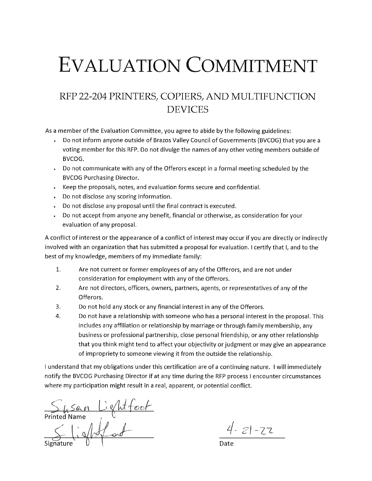### RFP 22-204 PRINTERS, COPIERS, AND MULTIFUNCTION **DEVICES**

As a member of the Evaluation Committee, you agree to abide by the following guidelines:

- Do not inform anyone outside of Brazos Valley Council of Governments (BVCOG) that you are a voting member for this RFP. Do not divulge the names of any other voting members outside of BVCOG.
- Do not communicate with any of the Offerors except in a formal meeting scheduled by the **BVCOG Purchasing Director.**
- Keep the proposals, notes, and evaluation forms secure and confidential.
- Do not disclose any scoring information.
- Do not disclose any proposal until the final contract is executed.  $\sim$
- Do not accept from anyone any benefit, financial or otherwise, as consideration for your evaluation of any proposal.

A conflict of interest or the appearance of a conflict of interest may occur if you are directly or indirectly involved with an organization that has submitted a proposal for evaluation. I certify that I, and to the best of my knowledge, members of my immediate family:

- 1. Are not current or former employees of any of the Offerors, and are not under consideration for employment with any of the Offerors.
- $2.$ Are not directors, officers, owners, partners, agents, or representatives of any of the Offerors.
- 3. Do not hold any stock or any financial interest in any of the Offerors.
- $\overline{4}$ . Do not have a relationship with someone who has a personal interest in the proposal. This includes any affiliation or relationship by marriage or through family membership, any business or professional partnership, close personal friendship, or any other relationship that you think might tend to affect your objectivity or judgment or may give an appearance of impropriety to someone viewing it from the outside the relationship.

I understand that my obligations under this certification are of a continuing nature. I will immediately notify the BVCOG Purchasing Director if at any time during the RFP process I encounter circumstances where my participation might result in a real, apparent, or potential conflict.

Susan Lientfoot<br>nted Name<br>Shientfoot

 $4 - 21 - 22$ 

Date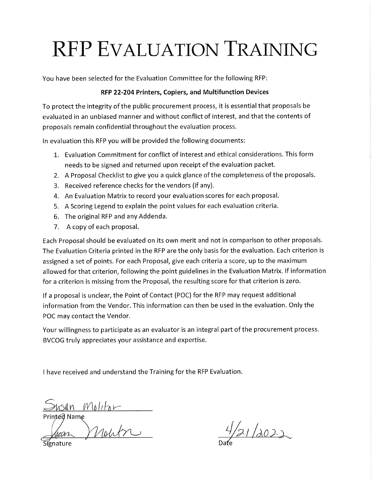You have been selected for the Evaluation Committee for the following RFP:

#### RFP 22-204 Printers, Copiers, and Multifunction Devices

To protect the integrity of the public procurement process, it is essential that proposals be evaluated in an unbiased manner and without conflict of interest, and that the contents of proposals remain confidential throughout the evaluation process.

In evaluation this RFP you will be provided the following documents:

- 1. Evaluation Commitment for conflict of interest and ethical considerations. This form needs to be signed and returned upon receipt of the evaluation packet.
- 2. A Proposal Checklist to give you a quick glance of the completeness of the proposals.
- 3. Received reference checks for the vendors (if any).
- 4. An Evaluation Matrix to record your evaluation scores for each proposal.
- 5. A Scoring Legend to explain the point values for each evaluation criteria.
- 6. The original RFP and any Addenda.
- 7. A copy of each proposal.

Each Proposal should be evaluated on its own merit and not in comparison to other proposals. The Evaluation Criteria printed in the RFP are the only basis for the evaluation. Each criterion is assigned a set of points. For each Proposal, give each criteria a score, up to the maximum allowed for that criterion, following the point guidelines in the Evaluation Matrix. If information for a criterion is missing from the Proposal, the resulting score for that criterion is zero.

If a proposal is unclear, the Point of Contact (POC) for the RFP may request additional information from the Vendor. This information can then be used in the evaluation. Only the POC may contact the Vendor.

Your willingness to participate as an evaluator is an integral part of the procurement process. BVCOG truly appreciates your assistance and expertise.

Susan Moliton

 $4/21/2022$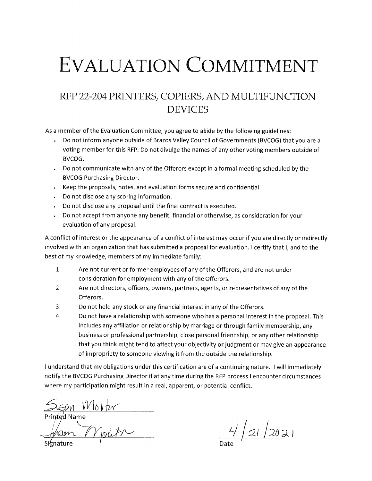### RFP 22-204 PRINTERS, COPIERS, AND MULTIFUNCTION **DEVICES**

As a member of the Evaluation Committee, you agree to abide by the following guidelines:

- Do not inform anyone outside of Brazos Valley Council of Governments (BVCOG) that you are a voting member for this RFP. Do not divulge the names of any other voting members outside of BVCOG.
- Do not communicate with any of the Offerors except in a formal meeting scheduled by the **BVCOG Purchasing Director.**
- Keep the proposals, notes, and evaluation forms secure and confidential.
- Do not disclose any scoring information.
- Do not disclose any proposal until the final contract is executed.  $\mathbf{r}$
- Do not accept from anyone any benefit, financial or otherwise, as consideration for your  $\bullet$ evaluation of any proposal.

A conflict of interest or the appearance of a conflict of interest may occur if you are directly or indirectly involved with an organization that has submitted a proposal for evaluation. I certify that I, and to the best of my knowledge, members of my immediate family:

- $1.$ Are not current or former employees of any of the Offerors, and are not under consideration for employment with any of the Offerors.
- $2.$ Are not directors, officers, owners, partners, agents, or representatives of any of the Offerors.
- 3. Do not hold any stock or any financial interest in any of the Offerors.
- $\overline{4}$ . Do not have a relationship with someone who has a personal interest in the proposal. This includes any affiliation or relationship by marriage or through family membership, any business or professional partnership, close personal friendship, or any other relationship that you think might tend to affect your objectivity or judgment or may give an appearance of impropriety to someone viewing it from the outside the relationship.

I understand that my obligations under this certification are of a continuing nature. I will immediately notify the BVCOG Purchasing Director if at any time during the RFP process I encounter circumstances where my participation might result in a real, apparent, or potential conflict.

Susan Wlolitor

 $4/21/2021$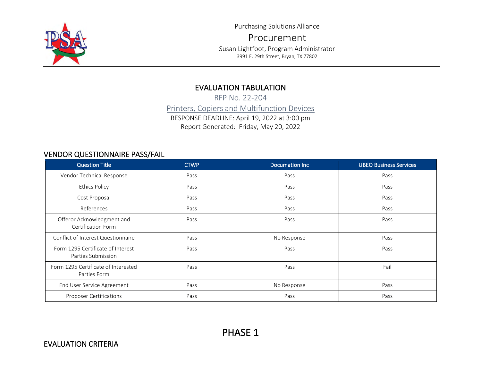

Purchasing Solutions Alliance

Procurement Susan Lightfoot, Program Administrator 3991 E. 29th Street, Bryan, TX 77802

### EVALUATION TABULATION

RFP No. 22-204 Printers, Copiers and Multifunction Devices RESPONSE DEADLINE: April 19, 2022 at 3:00 pm Report Generated: Friday, May 20, 2022

### VENDOR QUESTIONNAIRE PASS/FAIL

| <b>Question Title</b>                                   | <b>CTWP</b> | <b>Documation Inc.</b> | <b>UBEO Business Services</b> |
|---------------------------------------------------------|-------------|------------------------|-------------------------------|
| Vendor Technical Response                               | Pass        | Pass                   | Pass                          |
| <b>Ethics Policy</b>                                    | Pass        | Pass                   | Pass                          |
| Cost Proposal                                           | Pass        | Pass                   | Pass                          |
| References                                              | Pass        | Pass                   | Pass                          |
| Offeror Acknowledgment and<br>Certification Form        | Pass        | Pass                   | Pass                          |
| Conflict of Interest Questionnaire                      | Pass        | No Response            | Pass                          |
| Form 1295 Certificate of Interest<br>Parties Submission | Pass        | Pass                   | Pass                          |
| Form 1295 Certificate of Interested<br>Parties Form     | Pass        | Pass                   | Fail                          |
| End User Service Agreement                              | Pass        | No Response            | Pass                          |
| <b>Proposer Certifications</b>                          | Pass        | Pass                   | Pass                          |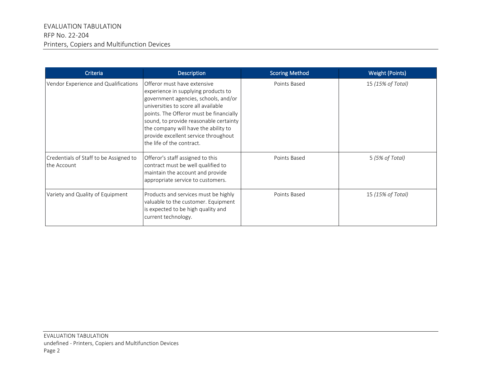| Criteria                                              | <b>Description</b>                                                                                                                                                                                                                                                                                                                                  | <b>Scoring Method</b> | <b>Weight (Points)</b> |
|-------------------------------------------------------|-----------------------------------------------------------------------------------------------------------------------------------------------------------------------------------------------------------------------------------------------------------------------------------------------------------------------------------------------------|-----------------------|------------------------|
| Vendor Experience and Qualifications                  | Offeror must have extensive<br>experience in supplying products to<br>government agencies, schools, and/or<br>universities to score all available<br>points. The Offeror must be financially<br>sound, to provide reasonable certainty<br>the company will have the ability to<br>provide excellent service throughout<br>the life of the contract. | Points Based          | 15 (15% of Total)      |
| Credentials of Staff to be Assigned to<br>the Account | Offeror's staff assigned to this<br>contract must be well qualified to<br>maintain the account and provide<br>appropriate service to customers.                                                                                                                                                                                                     | Points Based          | 5 (5% of Total)        |
| Variety and Quality of Equipment                      | Products and services must be highly<br>valuable to the customer. Equipment<br>is expected to be high quality and<br>current technology.                                                                                                                                                                                                            | Points Based          | 15 (15% of Total)      |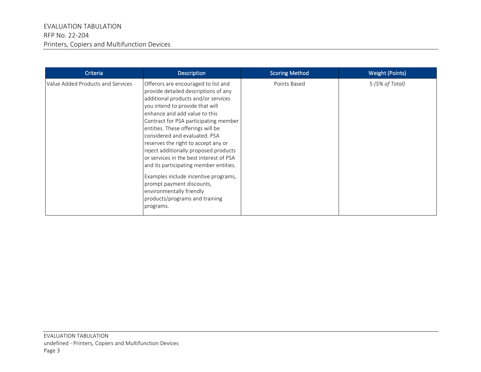| <b>Criteria</b>                   | <b>Description</b>                                                                                                                                                                                                                                                                                                                                                                                                                                                                                                                                                                                                         |              | <b>Weight (Points)</b> |  |  |
|-----------------------------------|----------------------------------------------------------------------------------------------------------------------------------------------------------------------------------------------------------------------------------------------------------------------------------------------------------------------------------------------------------------------------------------------------------------------------------------------------------------------------------------------------------------------------------------------------------------------------------------------------------------------------|--------------|------------------------|--|--|
| Value Added Products and Services | Offerors are encouraged to list and<br>provide detailed descriptions of any<br>additional products and/or services<br>you intend to provide that will<br>enhance and add value to this<br>Contract for PSA participating member<br>entities. These offerings will be<br>considered and evaluated. PSA<br>reserves the right to accept any or<br>reject additionally proposed products<br>or services in the best interest of PSA<br>and its participating member entities.<br>Examples include incentive programs,<br>prompt payment discounts,<br>environmentally friendly<br>products/programs and training<br>programs. | Points Based | 5 (5% of Total)        |  |  |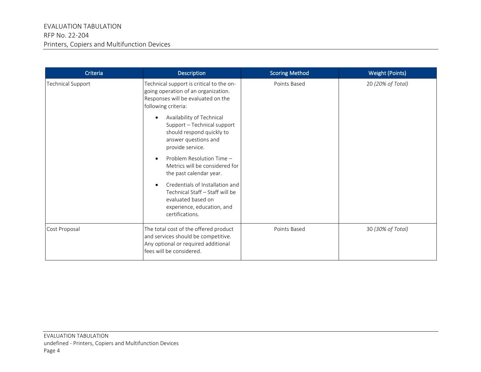| Criteria          | <b>Description</b>                                                                                                                                     | <b>Scoring Method</b> | <b>Weight (Points)</b> |  |  |
|-------------------|--------------------------------------------------------------------------------------------------------------------------------------------------------|-----------------------|------------------------|--|--|
| Technical Support | Technical support is critical to the on-<br>going operation of an organization.<br>Responses will be evaluated on the<br>following criteria:           | Points Based          | 20 (20% of Total)      |  |  |
|                   | Availability of Technical<br>$\bullet$<br>Support - Technical support<br>should respond quickly to<br>answer questions and<br>provide service.         |                       |                        |  |  |
|                   | Problem Resolution Time -<br>$\bullet$<br>Metrics will be considered for<br>the past calendar year.                                                    |                       |                        |  |  |
|                   | Credentials of Installation and<br>$\bullet$<br>Technical Staff - Staff will be<br>evaluated based on<br>experience, education, and<br>certifications. |                       |                        |  |  |
| Cost Proposal     | The total cost of the offered product<br>and services should be competitive.<br>Any optional or required additional<br>fees will be considered.        | Points Based          | 30 (30% of Total)      |  |  |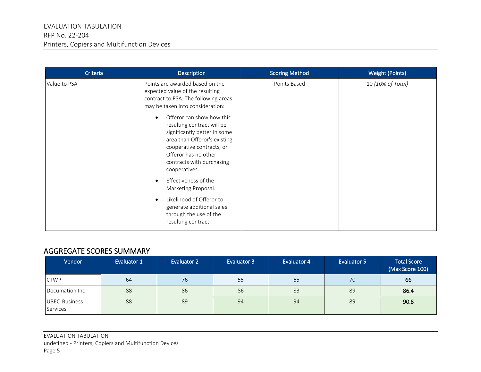| Criteria     | <b>Description</b>                                                                                                                                                                                                                                                                                                                                                                                                                                                                                                                                    | <b>Scoring Method</b> | <b>Weight (Points)</b> |
|--------------|-------------------------------------------------------------------------------------------------------------------------------------------------------------------------------------------------------------------------------------------------------------------------------------------------------------------------------------------------------------------------------------------------------------------------------------------------------------------------------------------------------------------------------------------------------|-----------------------|------------------------|
| Value to PSA | Points are awarded based on the<br>expected value of the resulting<br>contract to PSA. The following areas<br>may be taken into consideration:<br>Offeror can show how this<br>$\bullet$<br>resulting contract will be<br>significantly better in some<br>area than Offeror's existing<br>cooperative contracts, or<br>Offeror has no other<br>contracts with purchasing<br>cooperatives.<br>Effectiveness of the<br>$\bullet$<br>Marketing Proposal.<br>Likelihood of Offeror to<br>$\bullet$<br>generate additional sales<br>through the use of the | Points Based          | 10 (10% of Total)      |
|              | resulting contract.                                                                                                                                                                                                                                                                                                                                                                                                                                                                                                                                   |                       |                        |

### AGGREGATE SCORES SUMMARY

| Vendor                           | Evaluator 1 | <b>Evaluator 2</b> | <b>Evaluator 3</b> | Evaluator 4 | Evaluator 5 | <b>Total Score</b><br>(Max Score 100) |
|----------------------------------|-------------|--------------------|--------------------|-------------|-------------|---------------------------------------|
| <b>CTWP</b>                      | 64          | 76                 | 55                 | 65          | 70          | 66                                    |
| Documation Inc                   | 88          | 86                 | 86                 | 83          | 89          | 86.4                                  |
| <b>UBEO Business</b><br>Services | 88          | 89                 | 94                 | 94          | 89          | 90.8                                  |